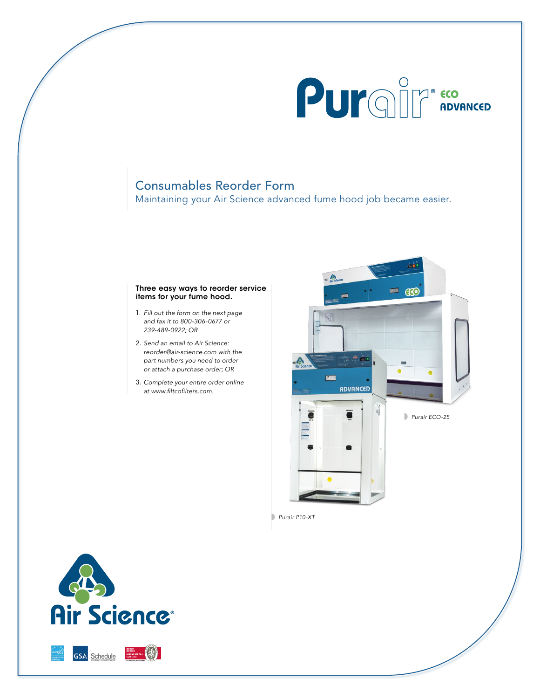

# Consumables Reorder Form

Maintaining your Air Science advanced fume hood job became easier.

### Three easy ways to reorder service items for your fume hood.

- 1. *Fill out the form on the next page and fax it to 800-306-0677 or 239-489-0922; OR*
- 2. *Send an email to Air Science: reorder@air-science.com with the part numbers you need to order or attach a purchase order; OR*
- 3. *Complete your entire order online* at www.filtcofilters.com.



*Purair P10-XT*



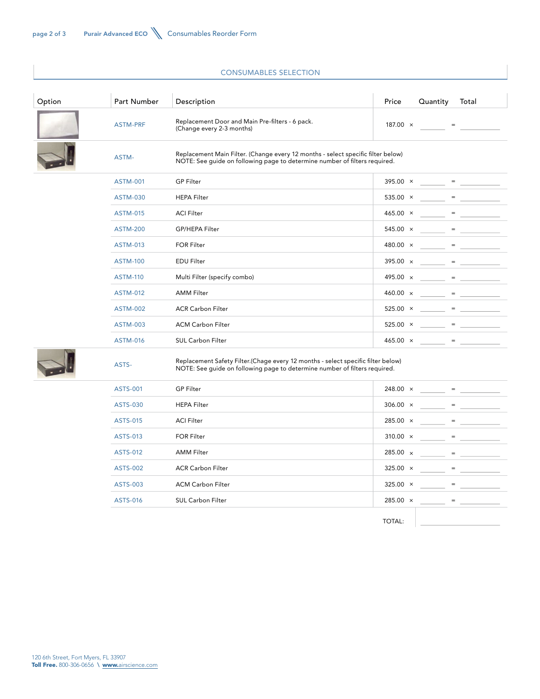## CONSUMABLES SELECTION

| Option | Part Number     | Description                                                                                                                                                    | Price           | Quantity                                                          | Total                                                                                                                                                                                                                                                                                                                                                                                                                 |  |
|--------|-----------------|----------------------------------------------------------------------------------------------------------------------------------------------------------------|-----------------|-------------------------------------------------------------------|-----------------------------------------------------------------------------------------------------------------------------------------------------------------------------------------------------------------------------------------------------------------------------------------------------------------------------------------------------------------------------------------------------------------------|--|
|        | <b>ASTM-PRF</b> | Replacement Door and Main Pre-filters - 6 pack.<br>(Change every 2-3 months)                                                                                   | 187.00 $\times$ | $\mathcal{L}_{\text{max}}$ , and $\mathcal{L}_{\text{max}}$       |                                                                                                                                                                                                                                                                                                                                                                                                                       |  |
|        | ASTM-           | Replacement Main Filter. (Change every 12 months - select specific filter below)<br>NOTE: See guide on following page to determine number of filters required. |                 |                                                                   |                                                                                                                                                                                                                                                                                                                                                                                                                       |  |
|        | <b>ASTM-001</b> | <b>GP Filter</b>                                                                                                                                               |                 |                                                                   | $395.00 \times =$                                                                                                                                                                                                                                                                                                                                                                                                     |  |
|        | <b>ASTM-030</b> | <b>HEPA Filter</b>                                                                                                                                             | 535.00 $\times$ | $\mathcal{L} = \mathcal{L} \mathcal{L} = \mathcal{L} \mathcal{L}$ |                                                                                                                                                                                                                                                                                                                                                                                                                       |  |
|        | <b>ASTM-015</b> | <b>ACI Filter</b>                                                                                                                                              | $465.00 \times$ |                                                                   | $\mathbf{r} = \mathbf{r} \cdot \mathbf{r}$ and $\mathbf{r} = \mathbf{r} \cdot \mathbf{r}$ and $\mathbf{r} = \mathbf{r} \cdot \mathbf{r}$                                                                                                                                                                                                                                                                              |  |
|        | <b>ASTM-200</b> | GP/HEPA Filter                                                                                                                                                 | $545.00 \times$ |                                                                   | $\label{eq:2} \mathcal{L}_{\mathcal{A}}(\mathcal{A})=\mathcal{L}_{\mathcal{A}}(\mathcal{A})=\underbrace{\mathcal{L}_{\mathcal{A}}(\mathcal{A})\mathcal{L}_{\mathcal{A}}(\mathcal{A})}_{\mathcal{A}}$                                                                                                                                                                                                                  |  |
|        | <b>ASTM-013</b> | <b>FOR Filter</b>                                                                                                                                              | 480.00 $\times$ |                                                                   | $\frac{1}{2}$ . The set of the set of the set of the set of the set of the set of the set of the set of the set of the set of the set of the set of the set of the set of the set of the set of the set of the set of the set of                                                                                                                                                                                      |  |
|        | <b>ASTM-100</b> | <b>EDU Filter</b>                                                                                                                                              | $395.00 \times$ |                                                                   |                                                                                                                                                                                                                                                                                                                                                                                                                       |  |
|        | <b>ASTM-110</b> | Multi Filter (specify combo)                                                                                                                                   |                 |                                                                   | $495.00 \times$ = $\frac{1}{200}$ = $\frac{1}{200}$                                                                                                                                                                                                                                                                                                                                                                   |  |
|        | <b>ASTM-012</b> | <b>AMM Filter</b>                                                                                                                                              |                 |                                                                   |                                                                                                                                                                                                                                                                                                                                                                                                                       |  |
|        | <b>ASTM-002</b> | <b>ACR Carbon Filter</b>                                                                                                                                       |                 | $525.00 \times \_ \_ \ = \_ \_$                                   |                                                                                                                                                                                                                                                                                                                                                                                                                       |  |
|        | <b>ASTM-003</b> | <b>ACM Carbon Filter</b>                                                                                                                                       |                 |                                                                   | $525.00 \times \_ \_ = \_ \_$                                                                                                                                                                                                                                                                                                                                                                                         |  |
|        | <b>ASTM-016</b> | <b>SUL Carbon Filter</b>                                                                                                                                       |                 |                                                                   | $465.00 \times =$                                                                                                                                                                                                                                                                                                                                                                                                     |  |
|        | ASTS-           | Replacement Safety Filter.(Chage every 12 months - select specific filter below)<br>NOTE: See guide on following page to determine number of filters required. |                 |                                                                   |                                                                                                                                                                                                                                                                                                                                                                                                                       |  |
|        | <b>ASTS-001</b> | <b>GP Filter</b>                                                                                                                                               | $248.00 \times$ |                                                                   | $\frac{1}{1-\frac{1}{1-\frac{1}{1-\frac{1}{1-\frac{1}{1-\frac{1}{1-\frac{1}{1-\frac{1}{1-\frac{1}{1-\frac{1}{1-\frac{1}{1-\frac{1}{1-\frac{1}{1-\frac{1}{1-\frac{1}{1-\frac{1}{1-\frac{1}{1-\frac{1}{1-\frac{1}{1-\frac{1}{1-\frac{1}{1-\frac{1}{1-\frac{1}{1-\frac{1}{1-\frac{1}{1-\frac{1}{1-\frac{1}{1-\frac{1}{1-\frac{1}{1-\frac{1}{1-\frac{1}{1-\frac{1}{1-\frac{1}{1-\frac{1}{1-\frac{1}{1-\frac{1}{1-\frac{1$ |  |
|        | ASTS-030        | <b>HEPA Filter</b>                                                                                                                                             | $306.00 \times$ |                                                                   | $\begin{tabular}{c} $ \color{red} \Xi_1$ & $ \color{red} \Xi_1$ \\ \cline{1-2} \end{tabular}$                                                                                                                                                                                                                                                                                                                         |  |
|        | <b>ASTS-015</b> | <b>ACI Filter</b>                                                                                                                                              | $285.00 \times$ |                                                                   | ______ = ___________                                                                                                                                                                                                                                                                                                                                                                                                  |  |
|        | ASTS-013        | <b>FOR Filter</b>                                                                                                                                              |                 |                                                                   |                                                                                                                                                                                                                                                                                                                                                                                                                       |  |

ASTS-012 AMM Filter 285.00 x ASTS-002 ACR Carbon Filter 325.00 x ASTS-003 ACM Carbon Filter **ACM Carbon Filter** 325.00 x ASTS-016 SUL Carbon Filter 285.00 x

TOTAL:

 $-$  =  $-$ 

 $\lambda = \frac{1}{2}$ 

 $=$ 

 $=$   $\frac{1}{\sqrt{1-\frac{1}{2}}\sqrt{1-\frac{1}{2}}\left( \frac{1}{2}+\frac{1}{2}+\frac{1}{2}+\frac{1}{2}+\frac{1}{2}+\frac{1}{2}+\frac{1}{2}+\frac{1}{2}+\frac{1}{2}+\frac{1}{2}+\frac{1}{2}+\frac{1}{2}+\frac{1}{2}+\frac{1}{2}+\frac{1}{2}+\frac{1}{2}+\frac{1}{2}+\frac{1}{2}+\frac{1}{2}+\frac{1}{2}+\frac{1}{2}+\frac{1}{2}+\frac{1}{2}+\frac{1}{2}+\frac{1}{2}+\frac{1}{2}+\frac{1$